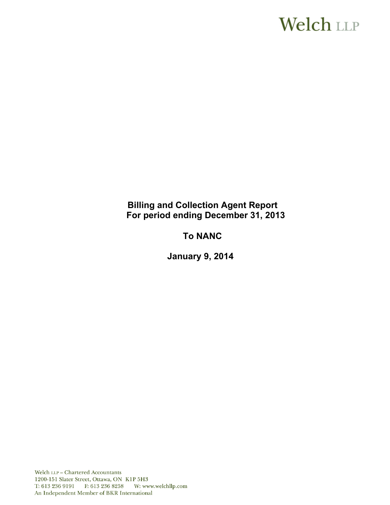# **Welch LLP**

# **Billing and Collection Agent Report For period ending December 31, 2013**

# **To NANC**

**January 9, 2014**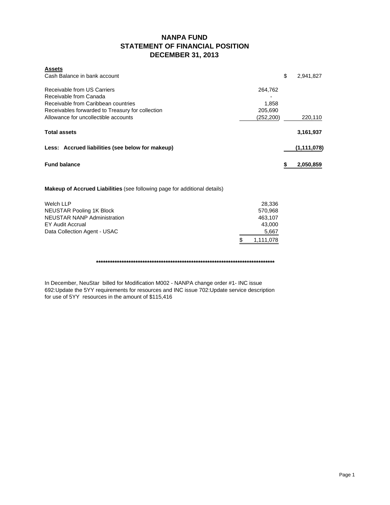### **NANPA FUND STATEMENT OF FINANCIAL POSITION DECEMBER 31, 2013**

| <b>Assets</b>                                    |            |    |               |
|--------------------------------------------------|------------|----|---------------|
| Cash Balance in bank account                     |            | \$ | 2,941,827     |
| Receivable from US Carriers                      | 264.762    |    |               |
| Receivable from Canada                           |            |    |               |
| Receivable from Caribbean countries              | 1.858      |    |               |
| Receivables forwarded to Treasury for collection | 205,690    |    |               |
| Allowance for uncollectible accounts             | (252, 200) |    | 220,110       |
| <b>Total assets</b>                              |            |    | 3,161,937     |
| Less: Accrued liabilities (see below for makeup) |            |    | (1, 111, 078) |
| <b>Fund balance</b>                              |            | S  | 2,050,859     |

**Makeup of Accrued Liabilities** (see following page for additional details)

| Welch LLP                          | 28.336    |
|------------------------------------|-----------|
| NEUSTAR Pooling 1K Block           | 570.968   |
| <b>NEUSTAR NANP Administration</b> | 463.107   |
| EY Audit Accrual                   | 43.000    |
| Data Collection Agent - USAC       | 5,667     |
|                                    | 1,111,078 |

**\*\*\*\*\*\*\*\*\*\*\*\*\*\*\*\*\*\*\*\*\*\*\*\*\*\*\*\*\*\*\*\*\*\*\*\*\*\*\*\*\*\*\*\*\*\*\*\*\*\*\*\*\*\*\*\*\*\*\*\*\*\*\*\*\*\*\*\*\*\*\*\*\*\*\*\*\***

In December, NeuStar billed for Modification M002 - NANPA change order #1- INC issue 692:Update the 5YY requirements for resources and INC issue 702:Update service description for use of 5YY resources in the amount of \$115,416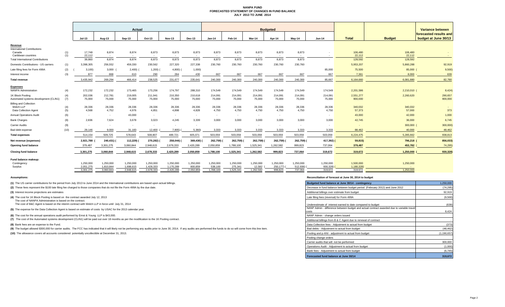#### **NANPA FUND FORECASTED STATEMENT OF CHANGES IN FUND BALANCE JULY 2013 TO JUNE 2014**

|                                                                     |            | Actual                 |                                   |                        |                          |                        |                      |                      |                      |                     | <b>Budgeted</b>       |                       |                       |                         | Variance between  |                                                |
|---------------------------------------------------------------------|------------|------------------------|-----------------------------------|------------------------|--------------------------|------------------------|----------------------|----------------------|----------------------|---------------------|-----------------------|-----------------------|-----------------------|-------------------------|-------------------|------------------------------------------------|
|                                                                     |            | <b>Jul-13</b>          | Aug-13                            | Sep-13                 | Oct-13                   | <b>Nov-13</b>          | Dec-13               | $Jan-14$             | Feb-14               | Mar-14              | Apr-14                | May-14                | <b>Jun-14</b>         | <b>Total</b>            | <b>Budget</b>     | forecasted results and<br>budget at June 30/13 |
| <u>Revenue</u>                                                      |            |                        |                                   |                        |                          |                        |                      |                      |                      |                     |                       |                       |                       |                         |                   |                                                |
| <b>International Contributions</b><br>Canada<br>Caribbean countries | (1)<br>(1) | 17,748<br>22,112       | 8,874<br>$\overline{\phantom{a}}$ | 8,874                  | 8,873<br>$\sim$          | 8,873                  | 8,873                | 8,873                | 8,873                | 8,873               | 8,873                 | 8,873                 |                       | 106,480<br>22,112       | 106,480<br>22,112 |                                                |
| <b>Total International Contributions</b>                            |            | 39,860                 | 8,874                             | 8,874                  | 8,873                    | 8,873                  | 8,873                | 8,873                | 8,873                | 8,873               | 8,873                 | 8,873                 |                       | 128,592                 | 128,592           |                                                |
| Domestic Contributions - US carriers                                | (1)        | 3,398,305              | 256,552                           | 459,330                | 230,562                  | 227,320                | 227,338              | 230,760              | 230,760              | 230,760             | 230,760               | 230,760               |                       | 5,953,207               | 5,860,288         | 92,919                                         |
| Late filing fees for Form 499A                                      | (2)        | 3,100                  | $3,000$ (                         | 2,400                  | 1,200)                   | $4,800$ )              | 1,000                |                      |                      |                     |                       |                       | 85,000                | 75,500                  | 85,000            | 9,500                                          |
| Interest income                                                     | (3)        | 877                    | 868                               | 610                    | 290                      | 284                    | 430                  | 667                  | 667                  | 667                 | 667                   | 667                   | 667                   | 7,361                   | 8.000             | 639                                            |
| <b>Total revenue</b>                                                |            | 3,435,942              | 269,294                           | 466,414                | 238,525                  | 231,677                | 235,641              | 240,300              | 240,300              | 240,300             | 240,300               | 240,300               | 85,667                | 6,164,660               | 6,081,880         | 82,780                                         |
| <b>Expenses</b><br><b>NANPA Administration</b>                      | (4)        | 172,232                | 172,232                           | 173,465                | 173,256                  | 174,797                | 288,310              | 174,549              | 174,549              | 174,549             | 174,549               | 174,549               | 174,549               | 2,201,586               | 2,210,010 (       | 8,424)                                         |
| 1K Block Pooling<br>Automated systems development (CLIN1)           | (4)<br>(7) | 202,036<br>75,000      | 212,781<br>75,000                 | 219,005<br>75,000      | 211,941<br>75,000        | 210,350<br>75,000      | 210,618<br>75,000    | 214,091<br>75,000    | 214,091<br>75,000    | 214,091<br>75,000   | 214,091<br>75,000     | 214,091<br>75,000     | 214,091<br>75,000     | 2,551,277<br>900,000    | 2,260,620         | 290,657<br>900,000                             |
| <b>Billing and Collection</b><br>Welch LLP<br>Data Collection Agent | (4)<br>(5) | 28,336<br>4,568        | 28,336<br>4,752                   | 28,336<br>4,976        | 28,336<br>4,851          | 28,336<br>4,898        | 28,336<br>4,828      | 28,336<br>4,750      | 28,336<br>4,750      | 28,336<br>4,750     | 28,336<br>4,750       | 28,336<br>4,750       | 28,336<br>4,750       | 340,032<br>57,373       | 340,032<br>57,000 | 373                                            |
| <b>Annual Operations Audit</b>                                      | (6)        | $\sim$                 | $\sim$                            | 43,000                 | $\sim$                   | $\sim$                 | $\sim$               | $\sim$               | $\sim$               | $\sim$              | $\sim$                |                       |                       | 43,000                  | 42,000            | 1,000                                          |
| <b>Bank Charges</b>                                                 | (8)        | 2.836                  | 7,624                             | 3,678                  | 3,023                    | 4,245                  | 3.339                | 3,000                | 3,000                | 3,000               | 3.000                 | 3.000                 | 3,000                 | 42,745                  | 36,000            | 6,745                                          |
| <b>Carrier Audits</b>                                               | (9)        | $\sim$                 | $\overline{\phantom{a}}$          | $\sim$                 | $\overline{\phantom{a}}$ |                        | $\sim$               |                      |                      |                     | $\sim$                | $\sim$                |                       |                         | 300,000           | 300,000                                        |
| Bad debt expense                                                    | (10)       | 29,146                 | 9,000                             | 31,183                 | 12,400                   | 7,905)                 | 5,360)               | 3,333                | 3,333                | 3,333               | 3,333                 | 3,333                 | 3,333                 | 88,462                  | 40,000            | 48,462                                         |
| <b>Total expenses</b>                                               |            | 514,154                | 509,725                           | 578,643                | 508,807                  | 489,721                | 605,071              | 503,059              | 503,059              | 503,059             | 503,059               | 503,059               | 503,059               | 6,224,475               | 5,285,662         | 938,813                                        |
| Net revenue (expenses)                                              |            | 2,921,788              | 240,431)                          | 112,229)               | 270,282)                 | 258,044) (             | 369,430) (           | 262,759) (           | 262,759)             | 262,759)            | 262,759)              | 262,759)(             | 417,392)              | 59,815)                 | 796,218 (         | 856,033)                                       |
| Opening fund balance                                                |            | 379,487                | 3,301,275                         | 3,060,844              | 2,948,615                | 2,678,333              | 2,420,289            | 2,050,859            | 1,788,100            | 1,525,341           | 1,262,582             | 999,823               | 737,064               | 379,487                 | 453,782           | 74,295                                         |
| <b>Closing fund balance</b>                                         |            | 3,301,275              | 3,060,844                         | 2,948,615              | 2,678,333                | 2,420,289              | 2,050,859            | 1,788,100            | 1,525,341            | 1,262,582           | 999,823               | 737,064               | 319,672               | 319,672                 | 1,250,000         | 930,328                                        |
| Fund balance makeup:<br>Contingency<br>Surplus                      |            | 1,250,000<br>2,051,275 | 1,250,000<br>1,810,844            | 1,250,000<br>1,698,615 | 1,250,000<br>1,428,333   | 1,250,000<br>1,170,289 | 1,250,000<br>800.859 | 1,250,000<br>538,100 | 1,250,000<br>275,341 | 1,250,000<br>12,582 | 1,250,000<br>250,177) | 1,250,000<br>512,936) | 1,250,000<br>930,328) | 1,500,000<br>1,180,328) | 1,250,000         |                                                |
|                                                                     |            | 3,301,275              | 3.060.844                         | 2,948,615              | 2,678,333                | 2,420,289              | 2.050.859            | 1,788,100            | 1,525,341            | 1,262,582           | 999.823               | 737.064               | 319,672               | 319,672                 | 1.250,000         |                                                |

**(1)** The US carrier contributions for the period from July 2013 to June 2014 and the International contributions are based upon actual billings.

(2) These fees represent the \$100 late filing fee charged to those companies that do not file the Form 499A by the due date.

**(3)** Interest income projections are estimates

**(4)** The cost for 1K Block Pooling is based on the contract awarded July 12, 2013

The cost of NANPA Administration is based on the contract. The cost of B&C Agent is based on the interim contract with Welch LLP in force until July 31, 2014

**(5)** The expense for the Data Collection Agent is based on estimate of costs by USAC for the 2013 calendar year.

**(6)** The cost for the annual operations audit performed by Ernst & Young LLP is \$43,000.

**(7)** The cost of the Automated systems development (CLIN1) will be paid out over 18 months as per the modification to the 1K Pooling contract.

**(8)** Bank fees are an expense to the Fund.

(9) The budget allowed \$300,000 for carrier audits. The FCC has indicated that it will likely not be performing any audits prior to June 30, 2014. If any audits are performed the funds to do so will come from this line ite

**(10)** The allowance covers all accounts considered potentially uncollectible at December 31, 2013.

#### **Assumptions: Reconciliation of forecast at June 30, 2014 to budget**

| Budgeted fund balance at June 30/14 - contingency                                                  | 1.250.000     |
|----------------------------------------------------------------------------------------------------|---------------|
| Decrease in fund balance between budget period (February 2012) and June 2012                       | (74, 295)     |
| Additional billings over estimate from budget                                                      | 92,919        |
| Late filing fees (reversal) for Form 499A                                                          | (9,500)       |
| Underestimate of interest earned to date compared to budget                                        | (639)         |
| NANP Admin - difference between budget and actual contract awarded due to variable travel<br>costs | 8,424         |
| NANP Admin - change orders issued                                                                  |               |
| Additional billings from B & C Agent due to renewal of contract                                    |               |
| Data Collection fees - Adjustment to actual from budget                                            | (373)         |
| Bad debts - Adjustment to actual from budget                                                       | (48, 462)     |
| Pooling and p-ANI - adjustment to actual from budget                                               | (1, 190, 657) |
| Pooling change orders                                                                              |               |
| Carrier audits that will not be performed                                                          | 300,000       |
| Operations Audit - Adjustment to actual from budget                                                | (1,000)       |
| Bank fees - Adjustment to actual from budget                                                       | (6, 745)      |
| Forecasted fund balance at June 30/14                                                              | 319.672       |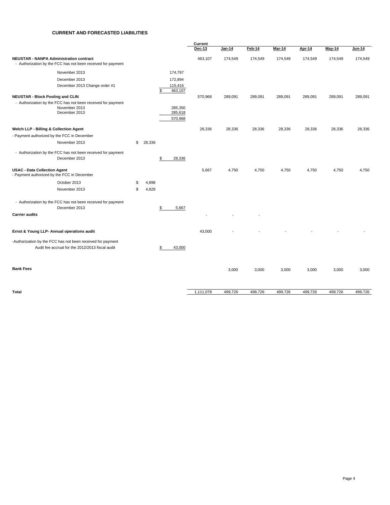#### **CURRENT AND FORECASTED LIABILITIES**

|                                                                                                                |              |     |                    | Current       |               |         |         |         |               |               |
|----------------------------------------------------------------------------------------------------------------|--------------|-----|--------------------|---------------|---------------|---------|---------|---------|---------------|---------------|
|                                                                                                                |              |     |                    | <b>Dec-13</b> | <u>Jan-14</u> | Feb-14  | Mar-14  | Apr-14  | <b>May-14</b> | <b>Jun-14</b> |
| <b>NEUSTAR - NANPA Administration contract</b><br>- Authorization by the FCC has not been received for payment |              |     |                    | 463,107       | 174,549       | 174,549 | 174,549 | 174,549 | 174,549       | 174,549       |
| November 2013                                                                                                  |              |     | 174,797            |               |               |         |         |         |               |               |
| December 2013                                                                                                  |              |     | 172,894            |               |               |         |         |         |               |               |
| December 2013 Change order #1                                                                                  |              | \$  | 115,416<br>463,107 |               |               |         |         |         |               |               |
| <b>NEUSTAR - Block Pooling and CLIN</b>                                                                        |              |     |                    | 570,968       | 289,091       | 289,091 | 289,091 | 289,091 | 289,091       | 289,091       |
| - Authorization by the FCC has not been received for payment                                                   |              |     |                    |               |               |         |         |         |               |               |
| November 2013<br>December 2013                                                                                 |              |     | 285.350<br>285,618 |               |               |         |         |         |               |               |
|                                                                                                                |              |     | 570,968            |               |               |         |         |         |               |               |
|                                                                                                                |              |     |                    |               |               |         |         |         |               |               |
| Welch LLP - Billing & Collection Agent                                                                         |              |     |                    | 28,336        | 28,336        | 28,336  | 28,336  | 28,336  | 28,336        | 28,336        |
| - Payment authorized by the FCC in December<br>November 2013                                                   | \$<br>28,336 |     |                    |               |               |         |         |         |               |               |
|                                                                                                                |              |     |                    |               |               |         |         |         |               |               |
| - Authorization by the FCC has not been received for payment                                                   |              |     |                    |               |               |         |         |         |               |               |
| December 2013                                                                                                  |              | \$  | 28,336             |               |               |         |         |         |               |               |
| <b>USAC - Data Collection Agent</b>                                                                            |              |     |                    | 5,667         | 4,750         | 4,750   | 4,750   | 4,750   | 4,750         | 4,750         |
| - Payment authorized by the FCC in December                                                                    |              |     |                    |               |               |         |         |         |               |               |
| October 2013                                                                                                   | \$<br>4,898  |     |                    |               |               |         |         |         |               |               |
| November 2013                                                                                                  | \$<br>4,829  |     |                    |               |               |         |         |         |               |               |
| - Authorization by the FCC has not been received for payment                                                   |              |     |                    |               |               |         |         |         |               |               |
| December 2013                                                                                                  |              | \$  | 5,667              |               |               |         |         |         |               |               |
| <b>Carrier audits</b>                                                                                          |              |     |                    |               |               |         |         |         |               |               |
|                                                                                                                |              |     |                    |               |               |         |         |         |               |               |
| Ernst & Young LLP- Annual operations audit                                                                     |              |     |                    | 43,000        |               |         |         |         |               |               |
| -Authorization by the FCC has not been received for payment                                                    |              |     |                    |               |               |         |         |         |               |               |
| Audit fee accrual for the 2012/2013 fiscal audit                                                               |              | \$. | 43,000             |               |               |         |         |         |               |               |
|                                                                                                                |              |     |                    |               |               |         |         |         |               |               |
|                                                                                                                |              |     |                    |               |               |         |         |         |               |               |
| <b>Bank Fees</b>                                                                                               |              |     |                    |               | 3,000         | 3,000   | 3,000   | 3,000   | 3,000         | 3,000         |
|                                                                                                                |              |     |                    |               |               |         |         |         |               |               |
|                                                                                                                |              |     |                    |               |               |         |         |         |               |               |
| Total                                                                                                          |              |     |                    | 1,111,078     | 499,726       | 499,726 | 499,726 | 499,726 | 499,726       | 499,726       |